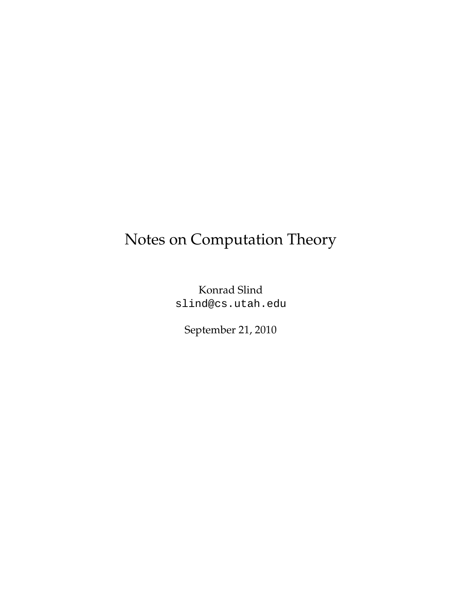## Notes on Computation Theory

Konrad Slind slind@cs.utah.edu

September 21, 2010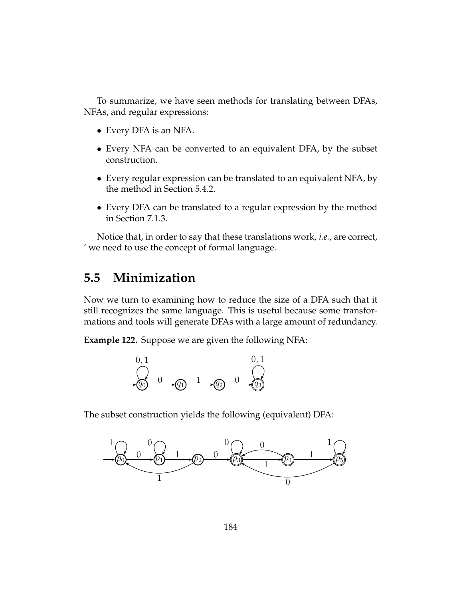To summarize, we have seen methods for translating between DFAs, NFAs, and regular expressions:

- Every DFA is an NFA.
- Every NFA can be converted to an equivalent DFA, by the subset construction.
- Every regular expression can be translated to an equivalent NFA, by the method in Section 5.4.2.
- Every DFA can be translated to a regular expression by the method in Section 7.1.3.

Notice that, in order to say that these translations work, *i.e.*, are correct, ' we need to use the concept of formal language.

## **5.5 Minimization**

Now we turn to examining how to reduce the size of a DFA such that it still recognizes the same language. This is useful because some transformations and tools will generate DFAs with a large amount of redundancy.

**Example 122.** Suppose we are given the following NFA:



The subset construction yields the following (equivalent) DFA:

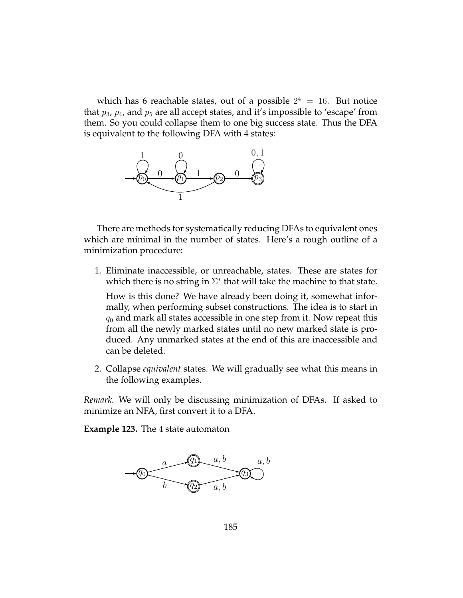which has 6 reachable states, out of a possible  $2^4 = 16$ . But notice that  $p_3$ ,  $p_4$ , and  $p_5$  are all accept states, and it's impossible to 'escape' from them. So you could collapse them to one big success state. Thus the DFA is equivalent to the following DFA with 4 states:



There are methods for systematically reducing DFAs to equivalent ones which are minimal in the number of states. Here's a rough outline of a minimization procedure:

1. Eliminate inaccessible, or unreachable, states. These are states for which there is no string in  $\Sigma^*$  that will take the machine to that state.

How is this done? We have already been doing it, somewhat informally, when performing subset constructions. The idea is to start in  $q_0$  and mark all states accessible in one step from it. Now repeat this from all the newly marked states until no new marked state is produced. Any unmarked states at the end of this are inaccessible and can be deleted.

2. Collapse *equivalent* states. We will gradually see what this means in the following examples.

*Remark.* We will only be discussing minimization of DFAs. If asked to minimize an NFA, first convert it to a DFA.

**Example 123.** The 4 state automaton

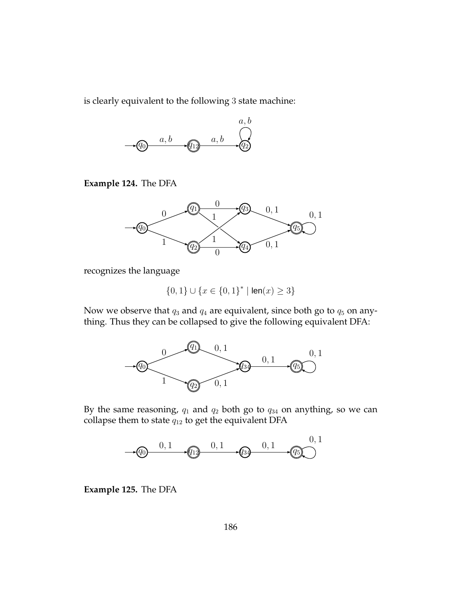is clearly equivalent to the following 3 state machine:



**Example 124.** The DFA



recognizes the language

 $\{0,1\}\cup\{x\in\{0,1\}^* \mid \mathsf{len}(x)\geq 3\}$ 

Now we observe that  $q_3$  and  $q_4$  are equivalent, since both go to  $q_5$  on anything. Thus they can be collapsed to give the following equivalent DFA:



By the same reasoning,  $q_1$  and  $q_2$  both go to  $q_{34}$  on anything, so we can collapse them to state  $q_{12}$  to get the equivalent DFA



**Example 125.** The DFA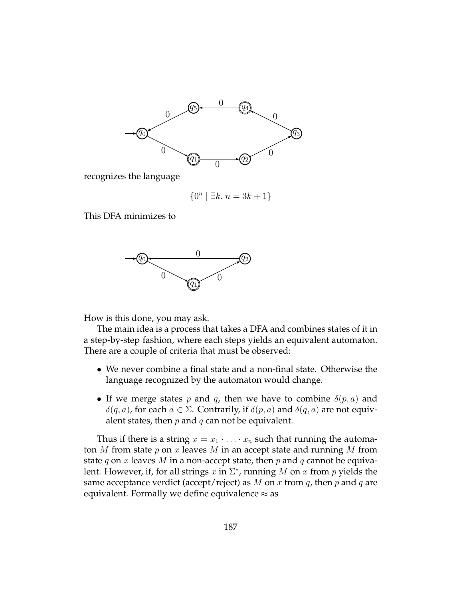

recognizes the language

$$
\{0^n \mid \exists k.\ n = 3k + 1\}
$$

This DFA minimizes to



How is this done, you may ask.

The main idea is a process that takes a DFA and combines states of it in a step-by-step fashion, where each steps yields an equivalent automaton. There are a couple of criteria that must be observed:

- We never combine a final state and a non-final state. Otherwise the language recognized by the automaton would change.
- If we merge states p and q, then we have to combine  $\delta(p, a)$  and  $\delta(q, a)$ , for each  $a \in \Sigma$ . Contrarily, if  $\delta(p, a)$  and  $\delta(q, a)$  are not equivalent states, then  $p$  and  $q$  can not be equivalent.

Thus if there is a string  $x = x_1 \cdot \ldots \cdot x_n$  such that running the automaton  $M$  from state  $p$  on  $x$  leaves  $M$  in an accept state and running  $M$  from state q on x leaves M in a non-accept state, then p and q cannot be equivalent. However, if, for all strings  $x$  in  $\Sigma^*$ , running  $M$  on  $x$  from  $p$  yields the same acceptance verdict (accept/reject) as M on x from  $q$ , then p and q are equivalent. Formally we define equivalence  $\approx$  as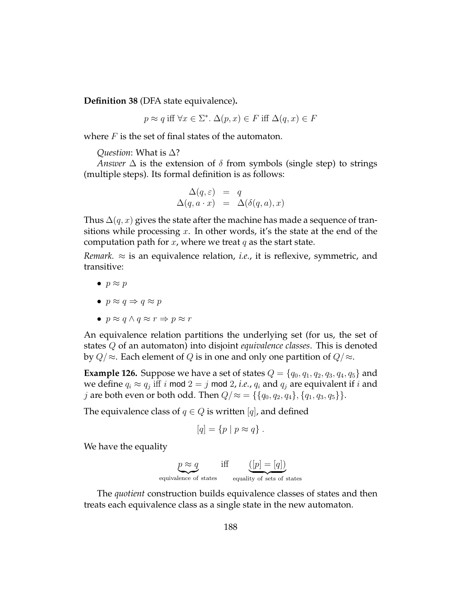**Definition 38** (DFA state equivalence)**.**

$$
p \approx q \text{ iff } \forall x \in \Sigma^*. \ \Delta(p, x) \in F \text{ iff } \Delta(q, x) \in F
$$

where  $F$  is the set of final states of the automaton.

## *Question*: What is ∆?

*Answer*  $\Delta$  is the extension of  $\delta$  from symbols (single step) to strings (multiple steps). Its formal definition is as follows:

$$
\Delta(q,\varepsilon) = q
$$
  
 
$$
\Delta(q,a \cdot x) = \Delta(\delta(q,a),x)
$$

Thus  $\Delta(q, x)$  gives the state after the machine has made a sequence of transitions while processing  $x$ . In other words, it's the state at the end of the computation path for x, where we treat q as the start state.

*Remark.*  $\approx$  is an equivalence relation, *i.e.*, it is reflexive, symmetric, and transitive:

- $\bullet$   $p \approx p$
- $p \approx q \Rightarrow q \approx p$
- $p \approx q \wedge q \approx r \Rightarrow p \approx r$

An equivalence relation partitions the underlying set (for us, the set of states Q of an automaton) into disjoint *equivalence classes*. This is denoted by  $Q/\approx$ . Each element of Q is in one and only one partition of  $Q/\approx$ .

**Example 126.** Suppose we have a set of states  $Q = \{q_0, q_1, q_2, q_3, q_4, q_5\}$  and we define  $q_i \approx q_j$  iff i mod  $2 = j$  mod 2, *i.e.*,  $q_i$  and  $q_j$  are equivalent if i and *j* are both even or both odd. Then  $Q \approx \{ \{q_0, q_2, q_4\}, \{q_1, q_3, q_5\} \}.$ 

The equivalence class of  $q \in Q$  is written [q], and defined

$$
[q] = \{p \mid p \approx q\}.
$$

We have the equality

$$
p \approx q
$$
 iff  $(p) = [q]$ 

The *quotient* construction builds equivalence classes of states and then treats each equivalence class as a single state in the new automaton.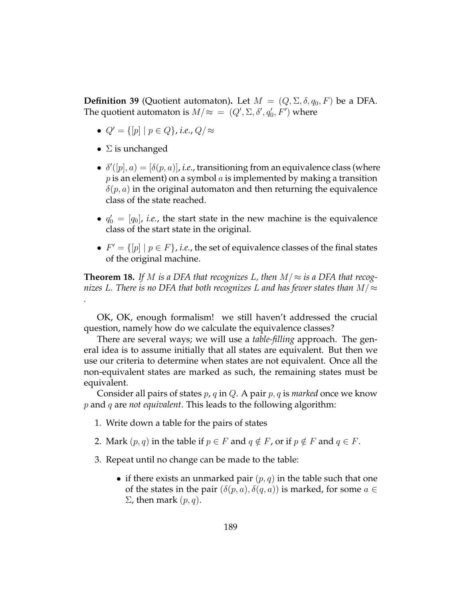**Definition 39** (Quotient automaton). Let  $M = (Q, \Sigma, \delta, q_0, F)$  be a DFA. The quotient automaton is  $M/\approx$  =  $(Q', \Sigma, \delta', q'_0, F')$  where

- $Q' = \{ [p] \mid p \in Q \}$ , *i.e.*,  $Q / \approx$
- $\Sigma$  is unchanged

*.*

- $\bullet$   $\delta'([p], a) = [\delta(p, a)], i.e.,$  transitioning from an equivalence class (where  $p$  is an element) on a symbol  $a$  is implemented by making a transition  $\delta(p, a)$  in the original automaton and then returning the equivalence class of the state reached.
- $q'_0 = [q_0]$ , *i.e.*, the start state in the new machine is the equivalence class of the start state in the original.
- $F' = \{ [p] \mid p \in F \}$ , *i.e.*, the set of equivalence classes of the final states of the original machine.

**Theorem 18.** If M is a DFA that recognizes L, then  $M \approx$  is a DFA that recog*nizes* L*. There is no DFA that both recognizes* L *and has fewer states than* M/≈

OK, OK, enough formalism! we still haven't addressed the crucial question, namely how do we calculate the equivalence classes?

There are several ways; we will use a *table-filling* approach. The general idea is to assume initially that all states are equivalent. But then we use our criteria to determine when states are not equivalent. Once all the non-equivalent states are marked as such, the remaining states must be equivalent.

Consider all pairs of states p, q in Q. A pair p, q is *marked* once we know p and q are *not equivalent*. This leads to the following algorithm:

- 1. Write down a table for the pairs of states
- 2. Mark  $(p, q)$  in the table if  $p \in F$  and  $q \notin F$ , or if  $p \notin F$  and  $q \in F$ .
- 3. Repeat until no change can be made to the table:
	- if there exists an unmarked pair  $(p, q)$  in the table such that one of the states in the pair  $(\delta(p, a), \delta(q, a))$  is marked, for some  $a \in \mathcal{C}$  $\Sigma$ , then mark  $(p, q)$ .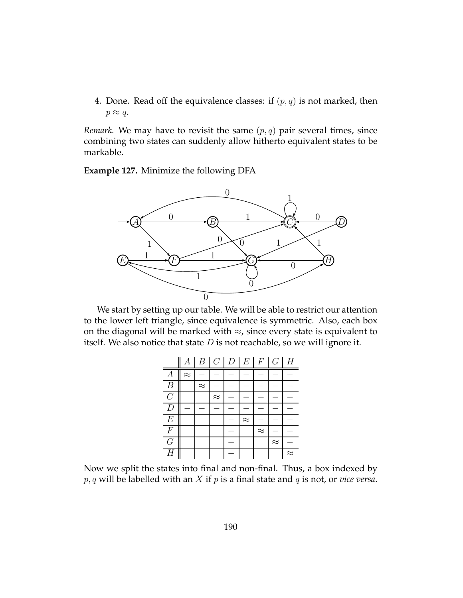4. Done. Read off the equivalence classes: if  $(p, q)$  is not marked, then  $p \approx q$ .

*Remark.* We may have to revisit the same  $(p, q)$  pair several times, since combining two states can suddenly allow hitherto equivalent states to be markable.

**Example 127.** Minimize the following DFA



We start by setting up our table. We will be able to restrict our attention to the lower left triangle, since equivalence is symmetric. Also, each box on the diagonal will be marked with  $\approx$ , since every state is equivalent to itself. We also notice that state  $D$  is not reachable, so we will ignore it.



Now we split the states into final and non-final. Thus, a box indexed by  $p, q$  will be labelled with an  $X$  if  $p$  is a final state and  $q$  is not, or *vice versa*.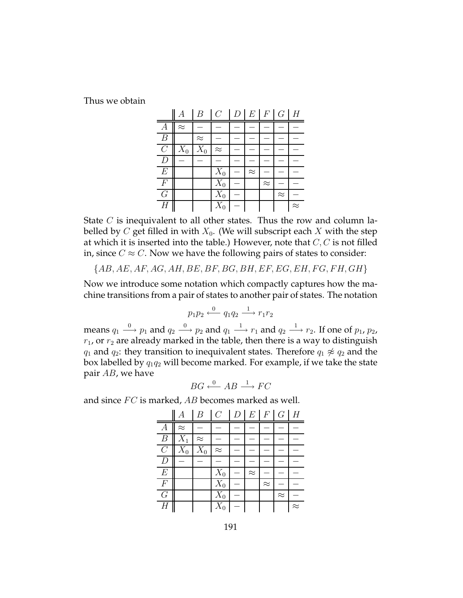Thus we obtain

|                  |           | B         | $\overline{C}$ | $\overline{D}$ | $E \mid F$ |           | G         | H         |
|------------------|-----------|-----------|----------------|----------------|------------|-----------|-----------|-----------|
| $\overline{A}$   | $\approx$ |           |                |                |            |           |           |           |
| $\boldsymbol{B}$ |           | $\approx$ |                |                |            |           |           |           |
| $\mathcal{C}$    | $X_0$     | $X_0$     | $\approx$      |                |            |           |           |           |
| $\boldsymbol{D}$ |           |           |                |                |            |           |           |           |
| E                |           |           | $X_0$          |                | $\approx$  |           |           |           |
| $\overline{F}$   |           |           | $X_0$          |                |            | $\approx$ |           |           |
| $\overline{G}$   |           |           | $X_0$          |                |            |           | $\approx$ |           |
| $\overline{H}$   |           |           | $X_0$          |                |            |           |           | $\approx$ |

State  $C$  is inequivalent to all other states. Thus the row and column labelled by C get filled in with  $X_0$ . (We will subscript each X with the step at which it is inserted into the table.) However, note that  $C, C$  is not filled in, since  $C \approx C$ . Now we have the following pairs of states to consider:

 ${AB, AE, AF, AG, AH, BE, BF, BG, BH, EF, EG, EH, FG, FH, GH}$ 

Now we introduce some notation which compactly captures how the machine transitions from a pair of states to another pair of states. The notation

$$
p_1 p_2 \xleftarrow{0} q_1 q_2 \xrightarrow{1} r_1 r_2
$$

means  $q_1 \stackrel{0}{\longrightarrow} p_1$  and  $q_2 \stackrel{0}{\longrightarrow} p_2$  and  $q_1 \stackrel{1}{\longrightarrow} r_1$  and  $q_2 \stackrel{1}{\longrightarrow} r_2$ . If one of  $p_1$ ,  $p_2$ ,  $r_1$ , or  $r_2$  are already marked in the table, then there is a way to distinguish  $q_1$  and  $q_2$ : they transition to inequivalent states. Therefore  $q_1 \not\approx q_2$  and the box labelled by  $q_1q_2$  will become marked. For example, if we take the state pair AB, we have

$$
BG \xleftarrow{0} AB \xrightarrow{1} FC
$$

and since  $FC$  is marked,  $AB$  becomes marked as well.

|                  | А         | B                | $\mathcal{C}$ | D |           |           | $E$ $F$ $G$ $H$ |           |
|------------------|-----------|------------------|---------------|---|-----------|-----------|-----------------|-----------|
| $\overline{A}$   | $\approx$ |                  |               |   |           |           |                 |           |
| $\boldsymbol{B}$ | $X_1$     | $\approx$        |               |   |           |           |                 |           |
| $\overline{C}$   | $X_0$     | $\overline{X}_0$ | $\approx$     |   |           |           |                 |           |
| D                |           |                  |               |   |           |           |                 |           |
| $E\,$            |           |                  | $X_0$         |   | $\approx$ |           |                 |           |
| $\boldsymbol{F}$ |           |                  | $X_0$         |   |           | $\approx$ |                 |           |
| G                |           |                  | $X_0$         |   |           |           | $\approx$       |           |
| $\overline{H}$   |           |                  | $X_0$         |   |           |           |                 | $\approx$ |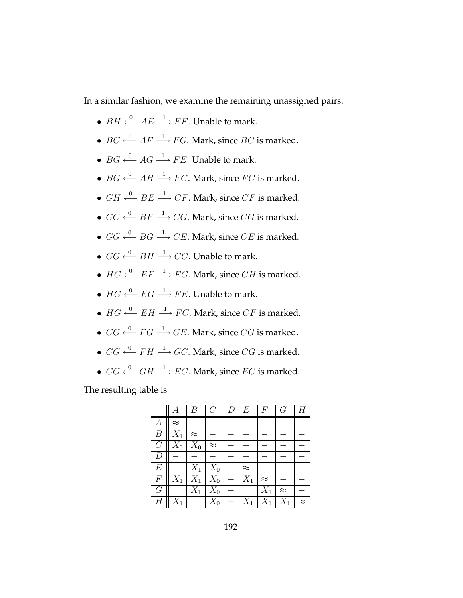In a similar fashion, we examine the remaining unassigned pairs:

- $BH \xrightarrow{0} AE \xrightarrow{1} FF$ . Unable to mark.
- $BC \xleftarrow{0} AF \xrightarrow{1} FG$ . Mark, since  $BC$  is marked.
- $BG \xrightarrow{0} AG \xrightarrow{1} FE$ . Unable to mark.
- $BG \xleftarrow{0} AH \xrightarrow{1} FC$ . Mark, since  $FC$  is marked.
- $GH \xleftarrow{0} BE \xrightarrow{1} CF$ . Mark, since  $CF$  is marked.
- $GC \xleftarrow{0} BF \xrightarrow{1} CG$ . Mark, since  $CG$  is marked.
- $GG \xleftarrow{0} BG \xrightarrow{1} CE$ . Mark, since CE is marked.
- $GG \xleftarrow{0} BH \xrightarrow{1} CC$ . Unable to mark.
- $HC \xleftarrow{0} EF \xrightarrow{1} FG$ . Mark, since  $CH$  is marked.
- $HG \xleftarrow{0} EG \xrightarrow{1} FE$ . Unable to mark.
- $HG \xleftarrow{0} EH \xrightarrow{1} FC$ . Mark, since  $CF$  is marked.
- $CG \xleftarrow{0} FG \longrightarrow GE$ . Mark, since CG is marked.
- $CG \xleftarrow{0} FH \xrightarrow{1} GC$ . Mark, since CG is marked.
- $GG \xleftarrow{0} GH \xrightarrow{1} EC$ . Mark, since  $EC$  is marked.

The resulting table is

|                  |           | B         | $\overline{C}$       | D | $E_{\perp}$ | F         | G         |           |
|------------------|-----------|-----------|----------------------|---|-------------|-----------|-----------|-----------|
| $\boldsymbol{A}$ | $\approx$ |           |                      |   |             |           |           |           |
| $\boldsymbol{B}$ | $X_{1}$   | $\approx$ |                      |   |             |           |           |           |
| C                | $X_0$     | $X_0$     | $\approx$            |   |             |           |           |           |
| $\boldsymbol{D}$ |           |           |                      |   |             |           |           |           |
| $E\,$            |           | $X_1$     | $X_0$                |   | $\approx$   |           |           |           |
| $\,F$            | $X_1$     | $X_1$     | $\overline{X}_0$     |   | $X_1$       | $\approx$ |           |           |
| G                |           | $X_1$     | $X_0$                |   |             | $X_1$     | $\approx$ |           |
| $\overline{H}$   |           |           | $\boxed{X_0$ – $X_1$ |   |             | $X_1$     | $X_{1}$   | $\approx$ |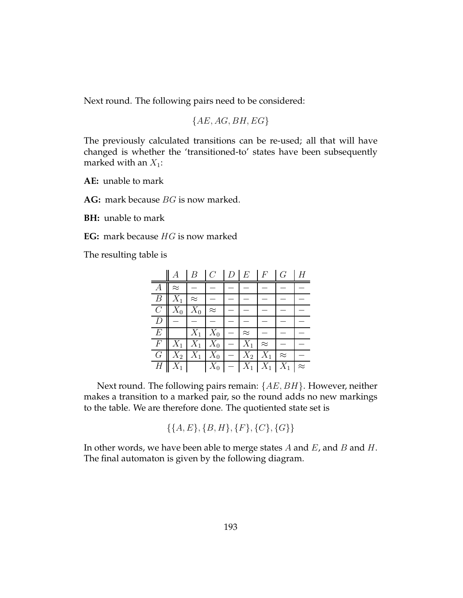Next round. The following pairs need to be considered:

 ${AE, AG, BH, EG}$ 

The previously calculated transitions can be re-used; all that will have changed is whether the 'transitioned-to' states have been subsequently marked with an  $X_1$ :

**AE:** unable to mark

AG: mark because BG is now marked.

**BH:** unable to mark

**EG:** mark because HG is now marked

The resulting table is

|                  |           | $\overline{B}$ | $C^-$               | $D \perp E$        | $\cal F$       | G         |           |
|------------------|-----------|----------------|---------------------|--------------------|----------------|-----------|-----------|
| $\boldsymbol{A}$ | $\approx$ |                |                     |                    |                |           |           |
| $\boldsymbol{B}$ | $X_1$     | $\approx$      |                     |                    |                |           |           |
| $C_{-}$          | $X_0$     | $X_0$          | $\approx$           |                    |                |           |           |
| D                |           |                |                     |                    |                |           |           |
| E                |           | $X_1$          |                     | $\approx$          |                |           |           |
| $\,F$            | $X_1$     |                | $X_1\mid X_0$       | $X_1$              | $\approx$      |           |           |
| $G_{-}$          | $X_2$     |                | $X_1 \mid X_0 \mid$ |                    | $X_2 \mid X_1$ | $\approx$ |           |
| $H_{\rm}$        | $X_1$     |                | $X_0$               | $\overline{-1}X_1$ | $X_1$          |           | $\approx$ |

Next round. The following pairs remain:  $\{AE, BH\}$ . However, neither makes a transition to a marked pair, so the round adds no new markings to the table. We are therefore done. The quotiented state set is

 $\{\{A, E\}, \{B, H\}, \{F\}, \{C\}, \{G\}\}\$ 

In other words, we have been able to merge states  $A$  and  $E$ , and  $B$  and  $H$ . The final automaton is given by the following diagram.